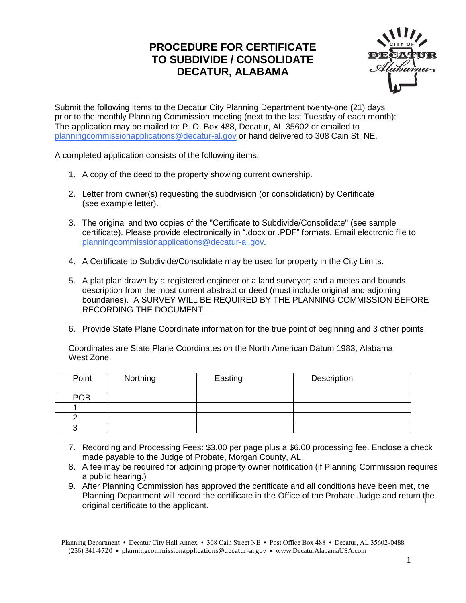## **PROCEDURE FOR CERTIFICATE TO SUBDIVIDE / CONSOLIDATE DECATUR, ALABAMA**



Submit the following items to the Decatur City Planning Department twenty-one (21) days prior to the monthly Planning Commission meeting (next to the last Tuesday of each month): The application may be mailed to: P. O. Box 488, Decatur, AL 35602 or emailed to [planningcommissionapplications@decatur-al.gov](mailto:planningcommisionapplications@decatur-al.gov) or hand delivered to 308 Cain St. NE.

A completed application consists of the following items:

- 1. A copy of the deed to the property showing current ownership.
- 2. Letter from owner(s) requesting the subdivision (or consolidation) by Certificate (see example letter).
- 3. The original and two copies of the "Certificate to Subdivide/Consolidate" (see sample certificate). Please provide electronically in ".docx or .PDF" formats. Email electronic file to [planningcommissionapplications@decatur-al.gov.](mailto:planningcommisionapplications@decatur-al.gov)
- 4. A Certificate to Subdivide/Consolidate may be used for property in the City Limits.
- 5. A plat plan drawn by a registered engineer or a land surveyor; and a metes and bounds description from the most current abstract or deed (must include original and adjoining boundaries). A SURVEY WILL BE REQUIRED BY THE PLANNING COMMISSION BEFORE RECORDING THE DOCUMENT.
- 6. Provide State Plane Coordinate information for the true point of beginning and 3 other points.

Coordinates are State Plane Coordinates on the North American Datum 1983, Alabama West Zone.

| Point      | Northing | Easting | Description |
|------------|----------|---------|-------------|
| <b>POB</b> |          |         |             |
|            |          |         |             |
|            |          |         |             |
|            |          |         |             |

- 7. Recording and Processing Fees: \$3.00 per page plus a \$6.00 processing fee. Enclose a check made payable to the Judge of Probate, Morgan County, AL.
- 8. A fee may be required for adjoining property owner notification (if Planning Commission requires a public hearing.)
- 9. After Planning Commission has approved the certificate and all conditions have been met, the Planning Department will record the certificate in the Office of the Probate Judge and return the original certificate to the applicant. <sup>1</sup>

Planning Department • Decatur City Hall Annex • 308 Cain Street NE • Post Office Box 488 • Decatur, AL 35602-0488 (256) 341-4720 • planningcommissionapplications@decatur-al.gov • www.DecaturAlabamaUSA.com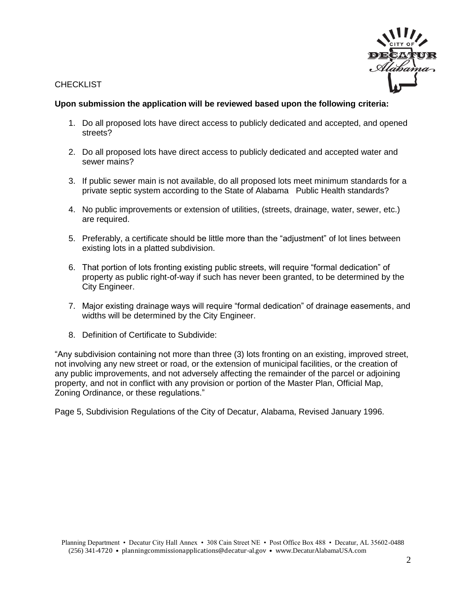



#### **Upon submission the application will be reviewed based upon the following criteria:**

- 1. Do all proposed lots have direct access to publicly dedicated and accepted, and opened streets?
- 2. Do all proposed lots have direct access to publicly dedicated and accepted water and sewer mains?
- 3. If public sewer main is not available, do all proposed lots meet minimum standards for a private septic system according to the State of Alabama Public Health standards?
- 4. No public improvements or extension of utilities, (streets, drainage, water, sewer, etc.) are required.
- 5. Preferably, a certificate should be little more than the "adjustment" of lot lines between existing lots in a platted subdivision.
- 6. That portion of lots fronting existing public streets, will require "formal dedication" of property as public right-of-way if such has never been granted, to be determined by the City Engineer.
- 7. Major existing drainage ways will require "formal dedication" of drainage easements, and widths will be determined by the City Engineer.
- 8. Definition of Certificate to Subdivide:

"Any subdivision containing not more than three (3) lots fronting on an existing, improved street, not involving any new street or road, or the extension of municipal facilities, or the creation of any public improvements, and not adversely affecting the remainder of the parcel or adjoining property, and not in conflict with any provision or portion of the Master Plan, Official Map, Zoning Ordinance, or these regulations."

Page 5, Subdivision Regulations of the City of Decatur, Alabama, Revised January 1996.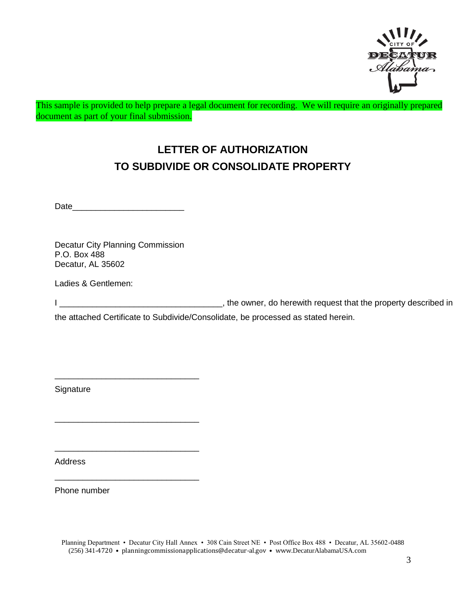

This sample is provided to help prepare a legal document for recording. We will require an originally prepared document as part of your final submission.

# **LETTER OF AUTHORIZATION TO SUBDIVIDE OR CONSOLIDATE PROPERTY**

Date\_\_\_\_\_\_\_\_\_\_\_\_\_\_\_\_\_\_\_\_\_\_\_\_

Decatur City Planning Commission P.O. Box 488 Decatur, AL 35602

\_\_\_\_\_\_\_\_\_\_\_\_\_\_\_\_\_\_\_\_\_\_\_\_\_\_\_\_\_\_\_

\_\_\_\_\_\_\_\_\_\_\_\_\_\_\_\_\_\_\_\_\_\_\_\_\_\_\_\_\_\_\_

\_\_\_\_\_\_\_\_\_\_\_\_\_\_\_\_\_\_\_\_\_\_\_\_\_\_\_\_\_\_\_

\_\_\_\_\_\_\_\_\_\_\_\_\_\_\_\_\_\_\_\_\_\_\_\_\_\_\_\_\_\_\_

Ladies & Gentlemen:

I \_\_\_\_\_\_\_\_\_\_\_\_\_\_\_\_\_\_\_\_\_\_\_\_\_\_\_\_\_\_\_\_\_\_\_, the owner, do herewith request that the property described in

the attached Certificate to Subdivide/Consolidate, be processed as stated herein.

**Signature** 

Address

Phone number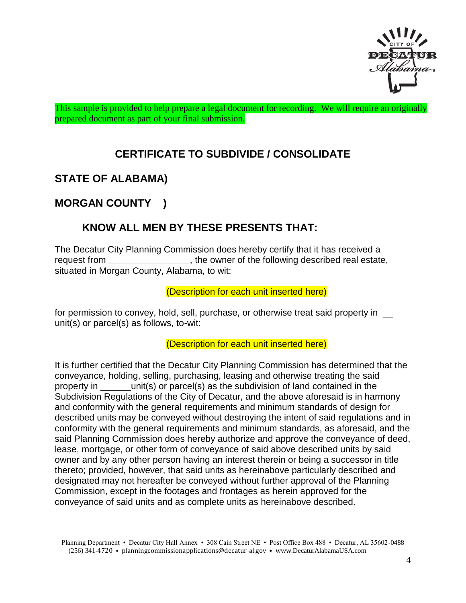

This sample is provided to help prepare a legal document for recording. We will require an originally prepared document as part of your final submission.

# **CERTIFICATE TO SUBDIVIDE / CONSOLIDATE**

# **STATE OF ALABAMA)**

## **MORGAN COUNTY )**

## **KNOW ALL MEN BY THESE PRESENTS THAT:**

The Decatur City Planning Commission does hereby certify that it has received a request from **the owner of the following described real estate,** situated in Morgan County, Alabama, to wit:

#### (Description for each unit inserted here)

for permission to convey, hold, sell, purchase, or otherwise treat said property in unit(s) or parcel(s) as follows, to-wit:

(Description for each unit inserted here)

It is further certified that the Decatur City Planning Commission has determined that the conveyance, holding, selling, purchasing, leasing and otherwise treating the said property in \_\_\_\_\_\_unit(s) or parcel(s) as the subdivision of land contained in the Subdivision Regulations of the City of Decatur, and the above aforesaid is in harmony and conformity with the general requirements and minimum standards of design for described units may be conveyed without destroying the intent of said regulations and in conformity with the general requirements and minimum standards, as aforesaid, and the said Planning Commission does hereby authorize and approve the conveyance of deed, lease, mortgage, or other form of conveyance of said above described units by said owner and by any other person having an interest therein or being a successor in title thereto; provided, however, that said units as hereinabove particularly described and designated may not hereafter be conveyed without further approval of the Planning Commission, except in the footages and frontages as herein approved for the conveyance of said units and as complete units as hereinabove described.